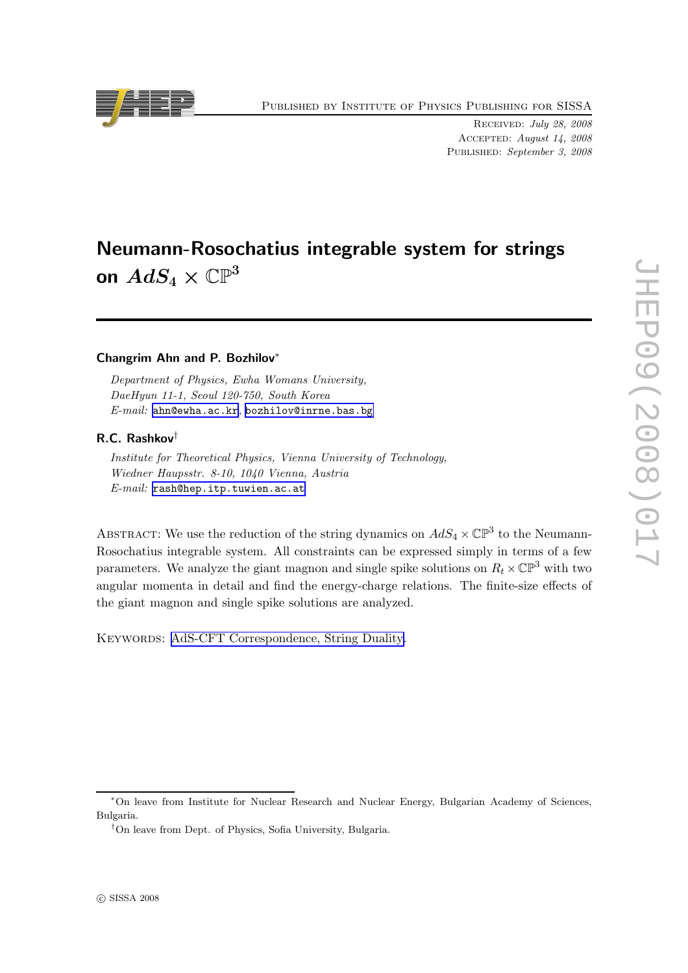Published by Institute of Physics Publishing for SISSA

Received: July 28, 2008 Accepted: August 14, 2008 Published: September 3, 2008

# Neumann-Rosochatius integrable system for strings

on  $AdS_4 \times \mathbb{CP}^3$ 

#### Changrim Ahn and P. Bozhilov<sup>∗</sup>

Department of Physics, Ewha Womans University, DaeHyun 11-1, Seoul 120-750, South Korea E-mail: [ahn@ewha.ac.kr](mailto:ahn@ewha.ac.kr), [bozhilov@inrne.bas.bg](mailto:bozhilov@inrne.bas.bg)

#### R.C. Rashkov†

Institute for Theoretical Physics, Vienna University of Technology, Wiedner Haupsstr. 8-10, 1040 Vienna, Austria E-mail: [rash@hep.itp.tuwien.ac.at](mailto:rash@hep.itp.tuwien.ac.at)

ABSTRACT: We use the reduction of the string dynamics on  $AdS_4 \times \mathbb{CP}^3$  to the Neumann-Rosochatius integrable system. All constraints can be expressed simply in terms of a few parameters. We analyze the giant magnon and single spike solutions on  $R_t \times \mathbb{CP}^3$  with two angular momenta in detail and find the energy-charge relations. The finite-size effects of the giant magnon and single spike solutions are analyzed.

KEYWORDS: [AdS-CFT Correspondence, String Duality.](http://jhep.sissa.it/stdsearch)



<sup>∗</sup>On leave from Institute for Nuclear Research and Nuclear Energy, Bulgarian Academy of Sciences, Bulgaria.

<sup>†</sup>On leave from Dept. of Physics, Sofia University, Bulgaria.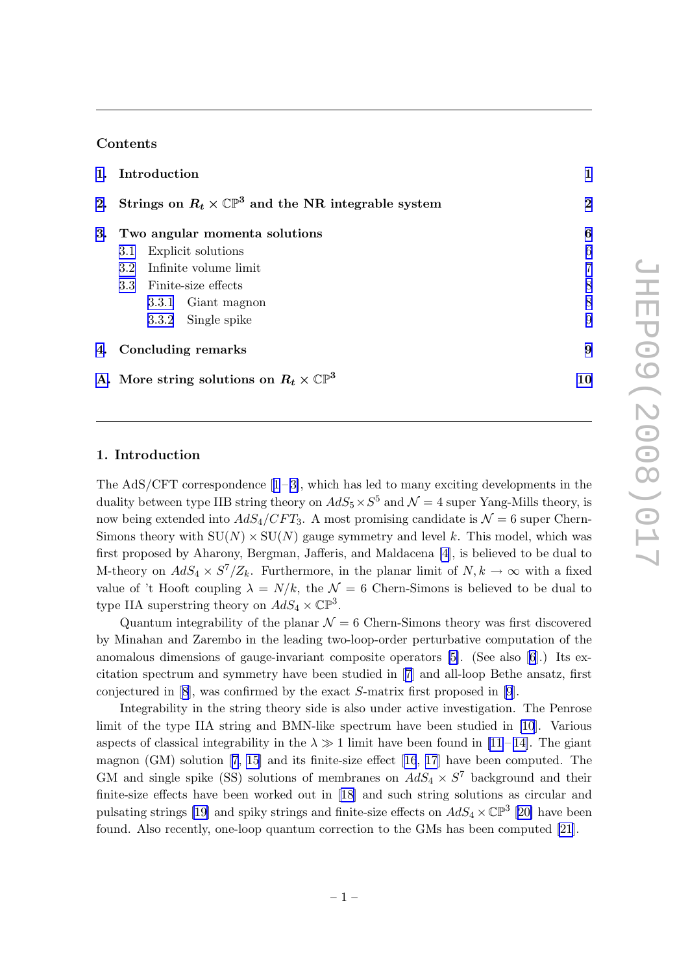#### Contents

|    | 1. Introduction                                                       |                |
|----|-----------------------------------------------------------------------|----------------|
|    | 2. Strings on $R_t \times \mathbb{CP}^3$ and the NR integrable system | $\mathbf{2}$   |
| 3. | Two angular momenta solutions                                         | 6              |
|    | Explicit solutions<br>3.1                                             | 6              |
|    | Infinite volume limit<br>3.2 <sub>2</sub>                             | $\overline{7}$ |
|    | 3.3 Finite-size effects                                               | 8              |
|    | 3.3.1 Giant magnon                                                    | 8              |
|    | 3.3.2 Single spike                                                    | 9              |
|    | 4. Concluding remarks                                                 | 9              |
|    | A. More string solutions on $R_t \times \mathbb{CP}^3$                | 10             |

#### 1. Introduction

TheAdS/CFT correspondence  $[1-3]$  $[1-3]$  $[1-3]$ , which has led to many exciting developments in the duality between type IIB string theory on  $AdS_5 \times S^5$  and  $\mathcal{N} = 4$  super Yang-Mills theory, is now being extended into  $AdS_4/CFT_3$ . A most promising candidate is  $\mathcal{N}=6$  super Chern-Simons theory with  $SU(N) \times SU(N)$  gauge symmetry and level k. This model, which was first proposed by Aharony, Bergman, Jafferis, and Maldacena [\[4\]](#page-15-0), is believed to be dual to M-theory on  $AdS_4 \times S^7/Z_k$ . Furthermore, in the planar limit of  $N, k \to \infty$  with a fixed value of 't Hooft coupling  $\lambda = N/k$ , the  $\mathcal{N} = 6$  Chern-Simons is believed to be dual to type IIA superstring theory on  $AdS_4 \times \mathbb{CP}^3$ .

Quantum integrability of the planar  $\mathcal{N} = 6$  Chern-Simons theory was first discovered by Minahan and Zarembo in the leading two-loop-order perturbative computation of the anomalous dimensions of gauge-invariant composite operators [\[5\]](#page-15-0). (See also[[6](#page-15-0)].) Its excitation spectrum and symmetry have been studied in[[7\]](#page-15-0) and all-loop Bethe ansatz, first conjectured in[[8\]](#page-15-0), was confirmed by the exact S-matrix first proposed in[[9](#page-15-0)].

Integrability in the string theory side is also under active investigation. The Penrose limit of the type IIA string and BMN-like spectrum have been studied in [\[10](#page-16-0)]. Various aspectsof classical integrability in the  $\lambda \gg 1$  limit have been found in [[11](#page-16-0) – [14\]](#page-16-0). The giant magnon (GM) solution[[7](#page-15-0), [15](#page-16-0)] and its finite-size effect[[16](#page-16-0), [17](#page-16-0)] have been computed. The GM and single spike (SS) solutions of membranes on  $AdS_4 \times S^7$  background and their finite-size effects have been worked out in[[18\]](#page-16-0) and such string solutions as circular and pulsating strings [\[19\]](#page-16-0) and spiky strings and finite-size effects on  $AdS_4 \times \mathbb{CP}^3$  [[20\]](#page-16-0) have been found. Also recently, one-loop quantum correction to the GMs has been computed [\[21](#page-16-0)].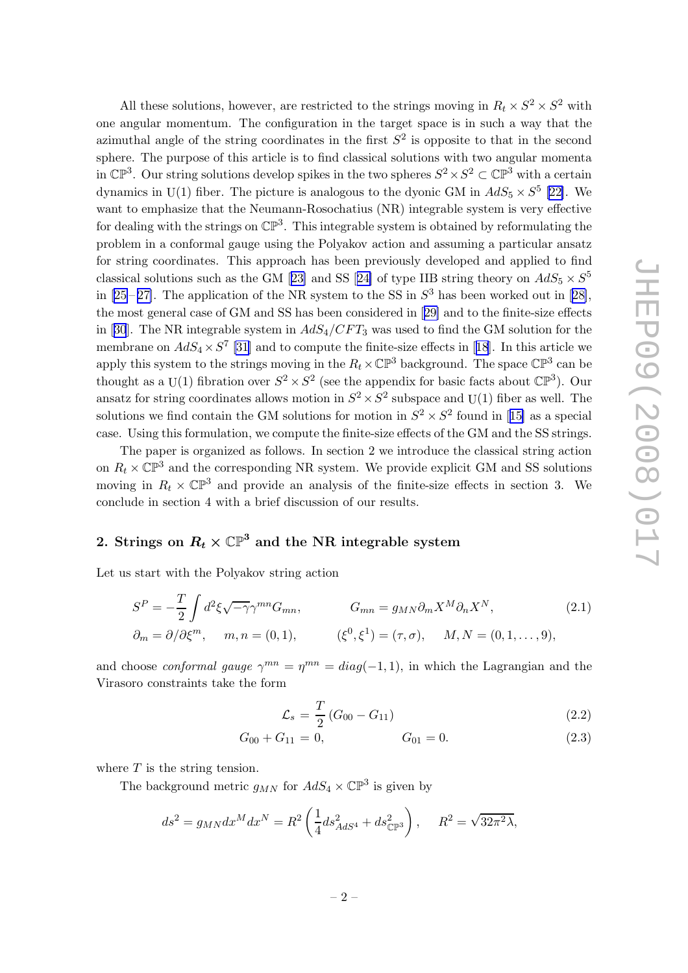<span id="page-2-0"></span>All these solutions, however, are restricted to the strings moving in  $R_t \times S^2 \times S^2$  with one angular momentum. The configuration in the target space is in such a way that the azimuthal angle of the string coordinates in the first  $S<sup>2</sup>$  is opposite to that in the second sphere. The purpose of this article is to find classical solutions with two angular momenta in  $\mathbb{CP}^3$ . Our string solutions develop spikes in the two spheres  $S^2 \times S^2 \subset \mathbb{CP}^3$  with a certain dynamics in U(1) fiber. The picture is analogous to the dyonic GM in  $AdS_5 \times S^5$  [[22\]](#page-16-0). We want to emphasize that the Neumann-Rosochatius (NR) integrable system is very effective for dealing with the strings on  $\mathbb{CP}^3$ . This integrable system is obtained by reformulating the problem in a conformal gauge using the Polyakov action and assuming a particular ansatz for string coordinates. This approach has been previously developed and applied to find classicalsolutions such as the GM [[23\]](#page-16-0) and SS [[24\]](#page-16-0) of type IIB string theory on  $AdS_5 \times S^5$ in $[25-27]$  $[25-27]$  $[25-27]$ . The application of the NR system to the SS in  $S^3$  has been worked out in  $[28]$  $[28]$ , the most general case of GM and SS has been considered in[[29\]](#page-16-0) and to the finite-size effects in[[30](#page-16-0)]. The NR integrable system in  $AdS_4/CFT_3$  was used to find the GM solution for the membraneon  $AdS_4 \times S^7$  [\[31](#page-17-0)] and to compute the finite-size effects in [[18](#page-16-0)]. In this article we apply this system to the strings moving in the  $R_t \times \mathbb{CP}^3$  background. The space  $\mathbb{CP}^3$  can be thought as a U(1) fibration over  $S^2 \times S^2$  (see the appendix for basic facts about  $\mathbb{CP}^3$ ). Our ansatz for string coordinates allows motion in  $S^2 \times S^2$  subspace and U(1) fiber as well. The solutionswe find contain the GM solutions for motion in  $S^2 \times S^2$  found in [[15\]](#page-16-0) as a special case. Using this formulation, we compute the finite-size effects of the GM and the SS strings.

The paper is organized as follows. In section 2 we introduce the classical string action on  $R_t \times \mathbb{CP}^3$  and the corresponding NR system. We provide explicit GM and SS solutions moving in  $R_t \times \mathbb{CP}^3$  and provide an analysis of the finite-size effects in section 3. We conclude in section 4 with a brief discussion of our results.

## 2. Strings on  $R_t \times \mathbb{CP}^3$  and the NR integrable system

Let us start with the Polyakov string action

$$
S^{P} = -\frac{T}{2} \int d^{2} \xi \sqrt{-\gamma} \gamma^{mn} G_{mn}, \qquad G_{mn} = g_{MN} \partial_{m} X^{M} \partial_{n} X^{N},
$$
\n
$$
\partial_{m} = \partial / \partial \xi^{m}, \qquad m, n = (0, 1), \qquad (\xi^{0}, \xi^{1}) = (\tau, \sigma), \qquad M, N = (0, 1, \dots, 9),
$$
\n
$$
(2.1)
$$

and choose *conformal gauge*  $\gamma^{mn} = \eta^{mn} = diag(-1, 1)$ , in which the Lagrangian and the Virasoro constraints take the form

$$
\mathcal{L}_s = \frac{T}{2} \left( G_{00} - G_{11} \right) \tag{2.2}
$$

$$
G_{00} + G_{11} = 0, \t G_{01} = 0. \t (2.3)
$$

where  $T$  is the string tension.

The background metric  $g_{MN}$  for  $AdS_4 \times \mathbb{CP}^3$  is given by

$$
ds^{2} = g_{MN}dx^{M}dx^{N} = R^{2} \left(\frac{1}{4}ds_{AdS^{4}}^{2} + ds_{\mathbb{CP}^{3}}^{2}\right), \quad R^{2} = \sqrt{32\pi^{2}\lambda},
$$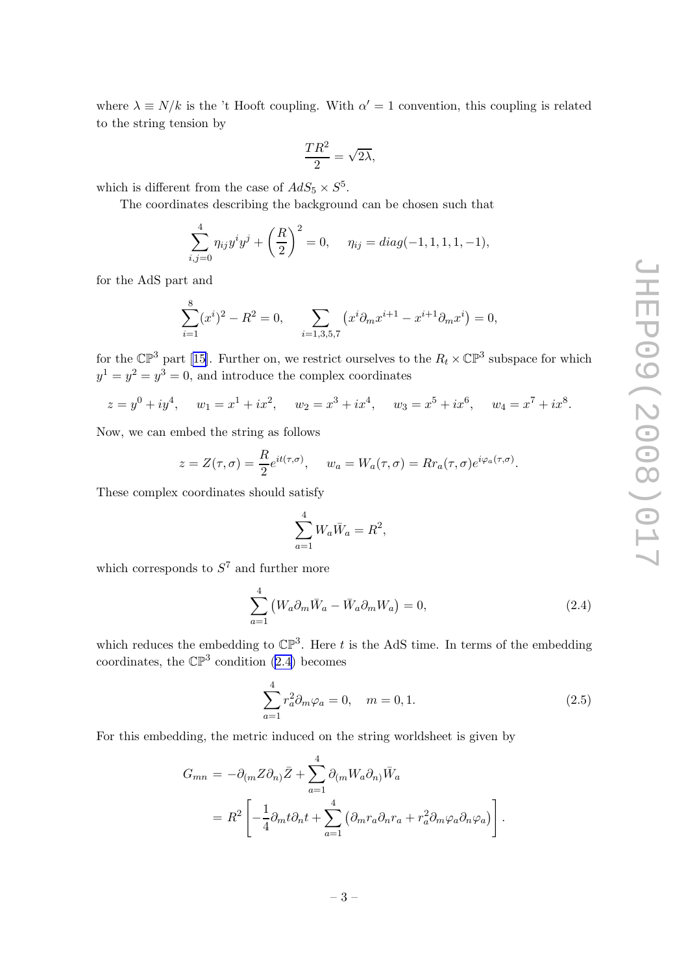<span id="page-3-0"></span>where  $\lambda \equiv N/k$  is the 't Hooft coupling. With  $\alpha' = 1$  convention, this coupling is related to the string tension by

$$
\frac{TR^2}{2} = \sqrt{2\lambda},
$$

which is different from the case of  $AdS_5 \times S^5$ .

The coordinates describing the background can be chosen such that

$$
\sum_{i,j=0}^{4} \eta_{ij} y^i y^j + \left(\frac{R}{2}\right)^2 = 0, \quad \eta_{ij} = diag(-1, 1, 1, 1, -1),
$$

for the AdS part and

 $\circ$ 

$$
\sum_{i=1}^{8} (x^{i})^{2} - R^{2} = 0, \qquad \sum_{i=1,3,5,7} (x^{i} \partial_{m} x^{i+1} - x^{i+1} \partial_{m} x^{i}) = 0,
$$

for the  $\mathbb{CP}^3$  part [\[15\]](#page-16-0). Further on, we restrict ourselves to the  $R_t \times \mathbb{CP}^3$  subspace for which  $y^1 = y^2 = y^3 = 0$ , and introduce the complex coordinates

 $z = y^0 + iy^4$ ,  $w_1 = x^1 + ix^2$ ,  $w_2 = x^3 + ix^4$ ,  $w_3 = x^5 + ix^6$ ,  $w_4 = x^7 + ix^8$ .

Now, we can embed the string as follows

$$
z = Z(\tau, \sigma) = \frac{R}{2} e^{it(\tau, \sigma)}, \quad w_a = W_a(\tau, \sigma) = R r_a(\tau, \sigma) e^{i\varphi_a(\tau, \sigma)}.
$$

These complex coordinates should satisfy

$$
\sum_{a=1}^{4} W_a \overline{W}_a = R^2,
$$

which corresponds to  $S<sup>7</sup>$  and further more

$$
\sum_{a=1}^{4} \left( W_a \partial_m \bar{W}_a - \bar{W}_a \partial_m W_a \right) = 0, \qquad (2.4)
$$

which reduces the embedding to  $\mathbb{CP}^3$ . Here t is the AdS time. In terms of the embedding coordinates, the  $\mathbb{CP}^3$  condition (2.4) becomes

$$
\sum_{a=1}^{4} r_a^2 \partial_m \varphi_a = 0, \quad m = 0, 1.
$$
 (2.5)

For this embedding, the metric induced on the string worldsheet is given by

$$
G_{mn} = -\partial_{(m} Z \partial_{n)} \bar{Z} + \sum_{a=1}^{4} \partial_{(m} W_{a} \partial_{n)} \bar{W}_{a}
$$
  
=  $R^{2} \left[ -\frac{1}{4} \partial_{m} t \partial_{n} t + \sum_{a=1}^{4} (\partial_{m} r_{a} \partial_{n} r_{a} + r_{a}^{2} \partial_{m} \varphi_{a} \partial_{n} \varphi_{a}) \right].$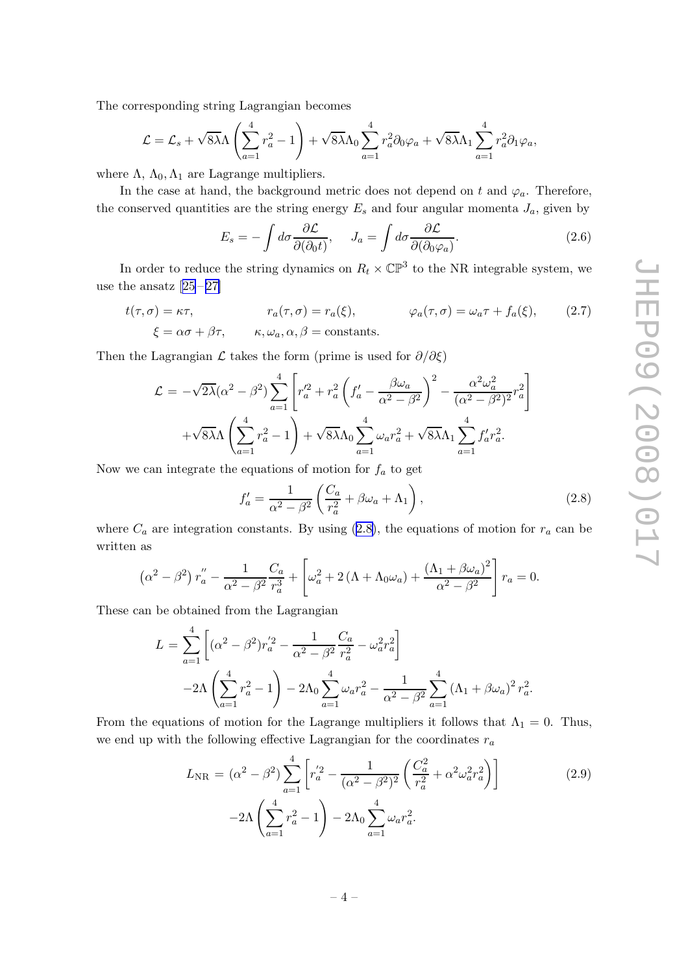<span id="page-4-0"></span>The corresponding string Lagrangian becomes

$$
\mathcal{L} = \mathcal{L}_s + \sqrt{8\lambda}\Lambda \left(\sum_{a=1}^4 r_a^2 - 1\right) + \sqrt{8\lambda}\Lambda_0 \sum_{a=1}^4 r_a^2 \partial_0 \varphi_a + \sqrt{8\lambda}\Lambda_1 \sum_{a=1}^4 r_a^2 \partial_1 \varphi_a,
$$

where  $\Lambda$ ,  $\Lambda_0$ ,  $\Lambda_1$  are Lagrange multipliers.

In the case at hand, the background metric does not depend on t and  $\varphi_a$ . Therefore, the conserved quantities are the string energy  $E_s$  and four angular momenta  $J_a$ , given by

$$
E_s = -\int d\sigma \frac{\partial \mathcal{L}}{\partial(\partial_0 t)}, \quad J_a = \int d\sigma \frac{\partial \mathcal{L}}{\partial(\partial_0 \varphi_a)}.
$$
 (2.6)

In order to reduce the string dynamics on  $R_t \times \mathbb{CP}^3$  to the NR integrable system, we usethe ansatz  $[25-27]$  $[25-27]$  $[25-27]$ 

$$
t(\tau, \sigma) = \kappa \tau, \qquad r_a(\tau, \sigma) = r_a(\xi), \qquad \varphi_a(\tau, \sigma) = \omega_a \tau + f_a(\xi), \qquad (2.7)
$$

$$
\xi = \alpha \sigma + \beta \tau, \qquad \kappa, \omega_a, \alpha, \beta = \text{constants.}
$$

Then the Lagrangian  $\mathcal L$  takes the form (prime is used for  $\partial/\partial \xi$ )

$$
\mathcal{L} = -\sqrt{2\lambda}(\alpha^2 - \beta^2) \sum_{a=1}^4 \left[ r_a'^2 + r_a^2 \left( f_a' - \frac{\beta \omega_a}{\alpha^2 - \beta^2} \right)^2 - \frac{\alpha^2 \omega_a^2}{(\alpha^2 - \beta^2)^2} r_a^2 \right] + \sqrt{8\lambda} \Lambda \left( \sum_{a=1}^4 r_a^2 - 1 \right) + \sqrt{8\lambda} \Lambda_0 \sum_{a=1}^4 \omega_a r_a^2 + \sqrt{8\lambda} \Lambda_1 \sum_{a=1}^4 f_a' r_a^2.
$$

Now we can integrate the equations of motion for  $f_a$  to get

$$
f'_a = \frac{1}{\alpha^2 - \beta^2} \left( \frac{C_a}{r_a^2} + \beta \omega_a + \Lambda_1 \right),\tag{2.8}
$$

where  $C_a$  are integration constants. By using (2.8), the equations of motion for  $r_a$  can be written as

$$
\left(\alpha^2 - \beta^2\right) r_a'' - \frac{1}{\alpha^2 - \beta^2} \frac{C_a}{r_a^3} + \left[\omega_a^2 + 2\left(\Lambda + \Lambda_0 \omega_a\right) + \frac{\left(\Lambda_1 + \beta \omega_a\right)^2}{\alpha^2 - \beta^2}\right] r_a = 0.
$$

These can be obtained from the Lagrangian

$$
L = \sum_{a=1}^{4} \left[ (\alpha^2 - \beta^2) r_a^{'2} - \frac{1}{\alpha^2 - \beta^2} \frac{C_a}{r_a^2} - \omega_a^2 r_a^2 \right]
$$
  
-2 $\Lambda \left( \sum_{a=1}^{4} r_a^2 - 1 \right) - 2\Lambda_0 \sum_{a=1}^{4} \omega_a r_a^2 - \frac{1}{\alpha^2 - \beta^2} \sum_{a=1}^{4} (\Lambda_1 + \beta \omega_a)^2 r_a^2.$ 

From the equations of motion for the Lagrange multipliers it follows that  $\Lambda_1 = 0$ . Thus, we end up with the following effective Lagrangian for the coordinates  $r_a$ 

$$
L_{\rm NR} = (\alpha^2 - \beta^2) \sum_{a=1}^{4} \left[ r_a^{'2} - \frac{1}{(\alpha^2 - \beta^2)^2} \left( \frac{C_a^2}{r_a^2} + \alpha^2 \omega_a^2 r_a^2 \right) \right]
$$
  
-2 $\Lambda \left( \sum_{a=1}^{4} r_a^2 - 1 \right) - 2\Lambda_0 \sum_{a=1}^{4} \omega_a r_a^2.$  (2.9)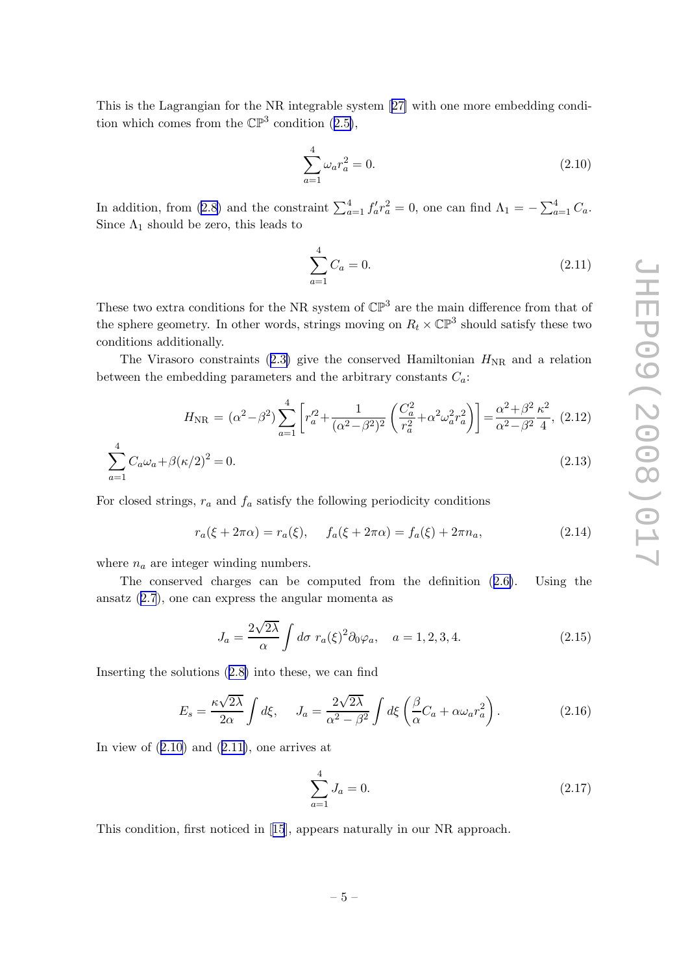<span id="page-5-0"></span>This is the Lagrangian for the NR integrable system[[27\]](#page-16-0) with one more embedding conditionwhich comes from the  $\mathbb{CP}^3$  condition ([2.5\)](#page-3-0),

$$
\sum_{a=1}^{4} \omega_a r_a^2 = 0.
$$
\n(2.10)

In addition, from [\(2.8\)](#page-4-0) and the constraint  $\sum_{a=1}^{4} f'_a r_a^2 = 0$ , one can find  $\Lambda_1 = -\sum_{a=1}^{4} C_a$ . Since  $\Lambda_1$  should be zero, this leads to

$$
\sum_{a=1}^{4} C_a = 0.
$$
\n(2.11)

These two extra conditions for the NR system of  $\mathbb{CP}^3$  are the main difference from that of the sphere geometry. In other words, strings moving on  $R_t \times \mathbb{CP}^3$  should satisfy these two conditions additionally.

TheVirasoro constraints ([2.3\)](#page-2-0) give the conserved Hamiltonian  $H_{\text{NR}}$  and a relation between the embedding parameters and the arbitrary constants  $C_a$ :

$$
H_{\rm NR} = (\alpha^2 - \beta^2) \sum_{a=1}^4 \left[ r_a'^2 + \frac{1}{(\alpha^2 - \beta^2)^2} \left( \frac{C_a^2}{r_a^2} + \alpha^2 \omega_a^2 r_a^2 \right) \right] = \frac{\alpha^2 + \beta^2 \kappa^2}{\alpha^2 - \beta^2 \, 4}, \tag{2.12}
$$

$$
\sum_{a=1}^{4} C_a \omega_a + \beta (\kappa/2)^2 = 0.
$$
\n(2.13)

For closed strings,  $r_a$  and  $f_a$  satisfy the following periodicity conditions

$$
r_a(\xi + 2\pi\alpha) = r_a(\xi), \quad f_a(\xi + 2\pi\alpha) = f_a(\xi) + 2\pi n_a,
$$
\n(2.14)

where  $n_a$  are integer winding numbers.

The conserved charges can be computed from the definition([2.6\)](#page-4-0). Using the ansatz([2.7](#page-4-0)), one can express the angular momenta as

$$
J_a = \frac{2\sqrt{2\lambda}}{\alpha} \int d\sigma \ r_a(\xi)^2 \partial_0 \varphi_a, \quad a = 1, 2, 3, 4. \tag{2.15}
$$

Inserting the solutions([2.8\)](#page-4-0) into these, we can find

$$
E_s = \frac{\kappa\sqrt{2\lambda}}{2\alpha} \int d\xi, \quad J_a = \frac{2\sqrt{2\lambda}}{\alpha^2 - \beta^2} \int d\xi \left(\frac{\beta}{\alpha} C_a + \alpha \omega_a r_a^2\right). \tag{2.16}
$$

In view of  $(2.10)$  and  $(2.11)$ , one arrives at

$$
\sum_{a=1}^{4} J_a = 0.
$$
\n(2.17)

This condition, first noticed in[[15](#page-16-0)], appears naturally in our NR approach.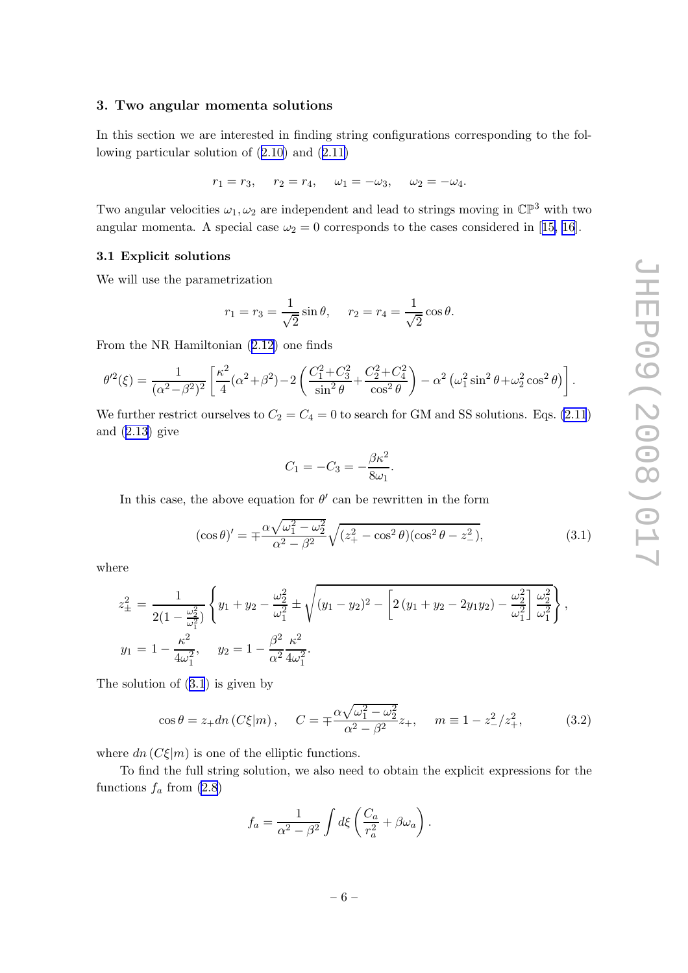#### <span id="page-6-0"></span>3. Two angular momenta solutions

In this section we are interested in finding string configurations corresponding to the following particular solution of([2.10](#page-5-0)) and([2.11\)](#page-5-0)

$$
r_1 = r_3
$$
,  $r_2 = r_4$ ,  $\omega_1 = -\omega_3$ ,  $\omega_2 = -\omega_4$ .

Two angular velocities  $\omega_1, \omega_2$  are independent and lead to strings moving in  $\mathbb{CP}^3$  with two angularmomenta. A special case  $\omega_2 = 0$  corresponds to the cases considered in [[15, 16](#page-16-0)].

#### 3.1 Explicit solutions

We will use the parametrization

$$
r_1 = r_3 = \frac{1}{\sqrt{2}} \sin \theta
$$
,  $r_2 = r_4 = \frac{1}{\sqrt{2}} \cos \theta$ .

From the NR Hamiltonian([2.12\)](#page-5-0) one finds

$$
\theta'^2(\xi) = \frac{1}{(\alpha^2 - \beta^2)^2} \left[ \frac{\kappa^2}{4} (\alpha^2 + \beta^2) - 2 \left( \frac{C_1^2 + C_3^2}{\sin^2 \theta} + \frac{C_2^2 + C_4^2}{\cos^2 \theta} \right) - \alpha^2 \left( \omega_1^2 \sin^2 \theta + \omega_2^2 \cos^2 \theta \right) \right].
$$

We further restrict ourselves to  $C_2 = C_4 = 0$  to search for GM and SS solutions. Eqs. [\(2.11](#page-5-0)) and $(2.13)$  $(2.13)$  give

$$
C_1 = -C_3 = -\frac{\beta \kappa^2}{8\omega_1}.
$$

In this case, the above equation for  $\theta'$  can be rewritten in the form

$$
(\cos \theta)' = \pm \frac{\alpha \sqrt{\omega_1^2 - \omega_2^2}}{\alpha^2 - \beta^2} \sqrt{(z_+^2 - \cos^2 \theta)(\cos^2 \theta - z_-^2)},
$$
\n(3.1)

where

$$
z_{\pm}^{2} = \frac{1}{2(1 - \frac{\omega_{2}^{2}}{\omega_{1}^{2}})} \left\{ y_{1} + y_{2} - \frac{\omega_{2}^{2}}{\omega_{1}^{2}} \pm \sqrt{(y_{1} - y_{2})^{2} - \left[ 2(y_{1} + y_{2} - 2y_{1}y_{2}) - \frac{\omega_{2}^{2}}{\omega_{1}^{2}} \right] \frac{\omega_{2}^{2}}{\omega_{1}^{2}} \right\},
$$
  

$$
y_{1} = 1 - \frac{\kappa^{2}}{4\omega_{1}^{2}}, \quad y_{2} = 1 - \frac{\beta^{2}}{\alpha^{2}} \frac{\kappa^{2}}{4\omega_{1}^{2}}.
$$

The solution of (3.1) is given by

$$
\cos \theta = z_+ dn \left( C \xi | m \right), \quad C = \pm \frac{\alpha \sqrt{\omega_1^2 - \omega_2^2}}{\alpha^2 - \beta^2} z_+, \quad m \equiv 1 - z_-^2 / z_+^2,\tag{3.2}
$$

where  $dn(C\xi|m)$  is one of the elliptic functions.

To find the full string solution, we also need to obtain the explicit expressions for the functions  $f_a$  from  $(2.8)$ 

$$
f_a = \frac{1}{\alpha^2 - \beta^2} \int d\xi \left( \frac{C_a}{r_a^2} + \beta \omega_a \right).
$$

$$
= 6 -
$$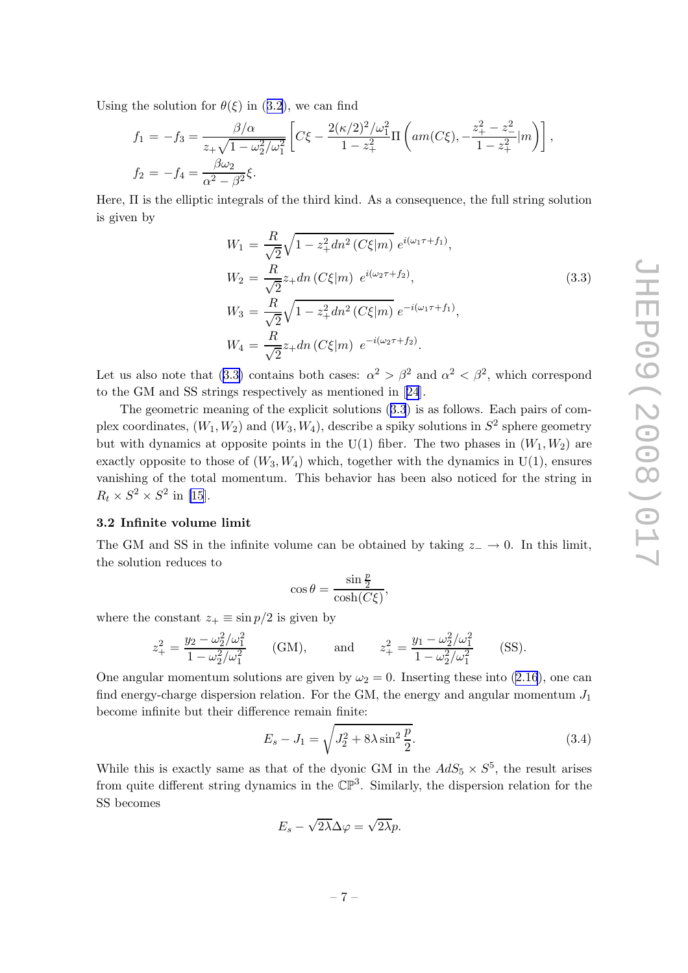<span id="page-7-0"></span>Usingthe solution for  $\theta(\xi)$  in ([3.2](#page-6-0)), we can find

$$
f_1 = -f_3 = \frac{\beta/\alpha}{z_+\sqrt{1-\omega_2^2/\omega_1^2}} \left[ C\xi - \frac{2(\kappa/2)^2/\omega_1^2}{1-z_+^2} \Pi \left( am(C\xi), -\frac{z_+^2-z_-^2}{1-z_+^2} |m \right) \right],
$$
  
\n
$$
f_2 = -f_4 = \frac{\beta\omega_2}{\alpha^2 - \beta^2} \xi.
$$

Here, Π is the elliptic integrals of the third kind. As a consequence, the full string solution is given by

$$
W_1 = \frac{R}{\sqrt{2}} \sqrt{1 - z_+^2} \, dn^2 \left( C \xi | m \right) \, e^{i(\omega_1 \tau + f_1)},
$$
\n
$$
W_2 = \frac{R}{\sqrt{2}} z_+ \, dn \left( C \xi | m \right) \, e^{i(\omega_2 \tau + f_2)},
$$
\n
$$
W_3 = \frac{R}{\sqrt{2}} \sqrt{1 - z_+^2} \, dn^2 \left( C \xi | m \right) \, e^{-i(\omega_1 \tau + f_1)},
$$
\n
$$
W_4 = \frac{R}{\sqrt{2}} z_+ \, dn \left( C \xi | m \right) \, e^{-i(\omega_2 \tau + f_2)}.
$$
\n
$$
(3.3)
$$

Let us also note that (3.3) contains both cases:  $\alpha^2 > \beta^2$  and  $\alpha^2 < \beta^2$ , which correspond to the GM and SS strings respectively as mentioned in[[24](#page-16-0)].

The geometric meaning of the explicit solutions (3.3) is as follows. Each pairs of complex coordinates,  $(W_1, W_2)$  and  $(W_3, W_4)$ , describe a spiky solutions in  $S^2$  sphere geometry but with dynamics at opposite points in the  $U(1)$  fiber. The two phases in  $(W_1, W_2)$  are exactly opposite to those of  $(W_3, W_4)$  which, together with the dynamics in U(1), ensures vanishing of the total momentum. This behavior has been also noticed for the string in  $R_t \times S^2 \times S^2$  in [\[15](#page-16-0)].

#### 3.2 Infinite volume limit

The GM and SS in the infinite volume can be obtained by taking  $z_-\rightarrow 0$ . In this limit, the solution reduces to

$$
\cos \theta = \frac{\sin \frac{p}{2}}{\cosh(C\xi)},
$$

where the constant  $z_+ \equiv \sin p/2$  is given by

$$
z_{+}^{2} = \frac{y_{2} - \omega_{2}^{2}/\omega_{1}^{2}}{1 - \omega_{2}^{2}/\omega_{1}^{2}} \qquad \text{(GM)}, \qquad \text{and} \qquad z_{+}^{2} = \frac{y_{1} - \omega_{2}^{2}/\omega_{1}^{2}}{1 - \omega_{2}^{2}/\omega_{1}^{2}} \qquad \text{(SS)}.
$$

Oneangular momentum solutions are given by  $\omega_2 = 0$ . Inserting these into ([2.16](#page-5-0)), one can find energy-charge dispersion relation. For the GM, the energy and angular momentum  $J_1$ become infinite but their difference remain finite:

$$
E_s - J_1 = \sqrt{J_2^2 + 8\lambda \sin^2 \frac{p}{2}}.
$$
\n(3.4)

While this is exactly same as that of the dyonic GM in the  $AdS_5 \times S^5$ , the result arises from quite different string dynamics in the  $\mathbb{CP}^3$ . Similarly, the dispersion relation for the SS becomes

$$
E_s - \sqrt{2\lambda} \Delta \varphi = \sqrt{2\lambda} p.
$$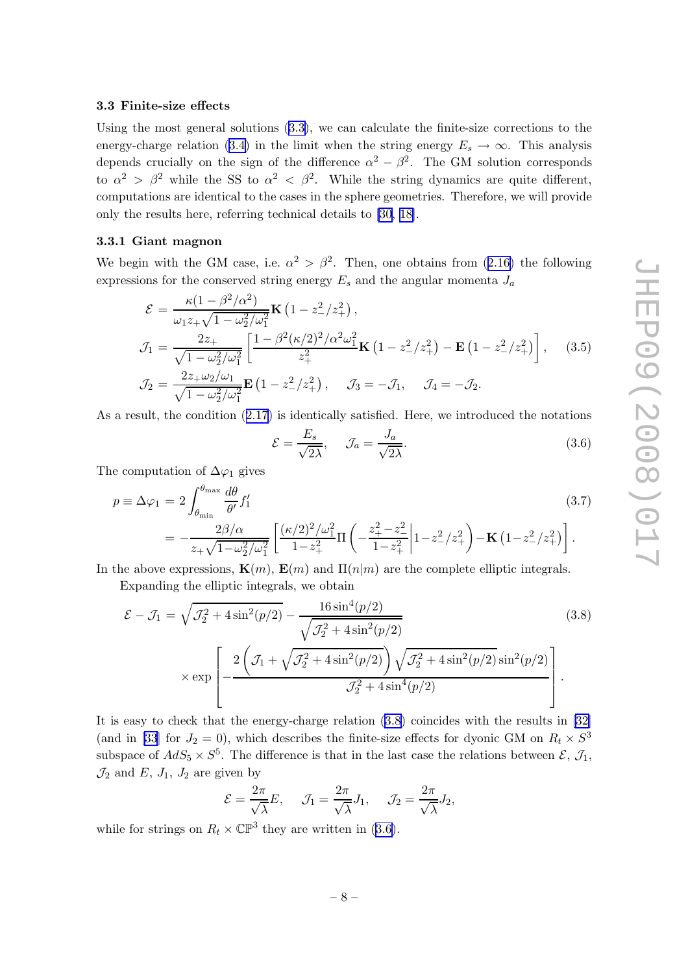#### <span id="page-8-0"></span>3.3 Finite-size effects

Using the most general solutions([3.3\)](#page-7-0), we can calculate the finite-size corrections to the energy-charge relation [\(3.4\)](#page-7-0) in the limit when the string energy  $E_s \to \infty$ . This analysis depends crucially on the sign of the difference  $\alpha^2 - \beta^2$ . The GM solution corresponds to  $\alpha^2 > \beta^2$  while the SS to  $\alpha^2 < \beta^2$ . While the string dynamics are quite different, computations are identical to the cases in the sphere geometries. Therefore, we will provide only the results here, referring technical details to [\[30](#page-16-0), [18\]](#page-16-0).

#### 3.3.1 Giant magnon

Webegin with the GM case, i.e.  $\alpha^2 > \beta^2$ . Then, one obtains from ([2.16\)](#page-5-0) the following expressions for the conserved string energy  $E_s$  and the angular momenta  $J_a$ 

$$
\mathcal{E} = \frac{\kappa (1 - \beta^2/\alpha^2)}{\omega_1 z_+ \sqrt{1 - \omega_2^2/\omega_1^2}} \mathbf{K} \left( 1 - z_-^2/z_+^2 \right),
$$
\n
$$
\mathcal{J}_1 = \frac{2z_+}{\sqrt{1 - \omega_2^2/\omega_1^2}} \left[ \frac{1 - \beta^2 (\kappa/2)^2/\alpha^2 \omega_1^2}{z_+^2} \mathbf{K} \left( 1 - z_-^2/z_+^2 \right) - \mathbf{E} \left( 1 - z_-^2/z_+^2 \right) \right], \quad (3.5)
$$
\n
$$
\mathcal{J}_2 = \frac{2z_+ \omega_2/\omega_1}{\sqrt{1 - \omega_2^2/\omega_1^2}} \mathbf{E} \left( 1 - z_-^2/z_+^2 \right), \quad \mathcal{J}_3 = -\mathcal{J}_1, \quad \mathcal{J}_4 = -\mathcal{J}_2.
$$

As a result, the condition([2.17\)](#page-5-0) is identically satisfied. Here, we introduced the notations

$$
\mathcal{E} = \frac{E_s}{\sqrt{2\lambda}}, \qquad \mathcal{J}_a = \frac{J_a}{\sqrt{2\lambda}}.
$$
\n(3.6)

The computation of  $\Delta\varphi_1$  gives

$$
p \equiv \Delta \varphi_1 = 2 \int_{\theta_{\min}}^{\theta_{\max}} \frac{d\theta}{\theta'} f_1' \qquad (3.7)
$$
  
= 
$$
-\frac{2\beta/\alpha}{z_+\sqrt{1-\omega_2^2/\omega_1^2}} \left[ \frac{(\kappa/2)^2/\omega_1^2}{1-z_+^2} \Pi \left( -\frac{z_+^2-z_-^2}{1-z_+^2} \middle| 1-z_-^2/z_+^2 \right) - \mathbf{K} \left( 1-z_-^2/z_+^2 \right) \right].
$$

In the above expressions,  $\mathbf{K}(m)$ ,  $\mathbf{E}(m)$  and  $\Pi(n|m)$  are the complete elliptic integrals.

Expanding the elliptic integrals, we obtain

$$
\mathcal{E} - \mathcal{J}_1 = \sqrt{\mathcal{J}_2^2 + 4\sin^2(p/2)} - \frac{16\sin^4(p/2)}{\sqrt{\mathcal{J}_2^2 + 4\sin^2(p/2)}}
$$
(3.8)  

$$
\times \exp\left[-\frac{2\left(\mathcal{J}_1 + \sqrt{\mathcal{J}_2^2 + 4\sin^2(p/2)}\right)\sqrt{\mathcal{J}_2^2 + 4\sin^2(p/2)}\sin^2(p/2)}{\mathcal{J}_2^2 + 4\sin^4(p/2)}\right].
$$

It is easy to check that the energy-charge relation (3.8) coincides with the results in [\[32\]](#page-17-0) (and in [\[33](#page-17-0)] for  $J_2 = 0$ ), which describes the finite-size effects for dyonic GM on  $R_t \times S^3$ subspace of  $AdS_5 \times S^5$ . The difference is that in the last case the relations between  $\mathcal{E}, \mathcal{J}_1$ ,  $\mathcal{J}_2$  and  $E$ ,  $J_1$ ,  $J_2$  are given by

$$
\mathcal{E} = \frac{2\pi}{\sqrt{\lambda}} E, \quad \mathcal{J}_1 = \frac{2\pi}{\sqrt{\lambda}} J_1, \quad \mathcal{J}_2 = \frac{2\pi}{\sqrt{\lambda}} J_2,
$$

while for strings on  $R_t \times \mathbb{CP}^3$  they are written in (3.6).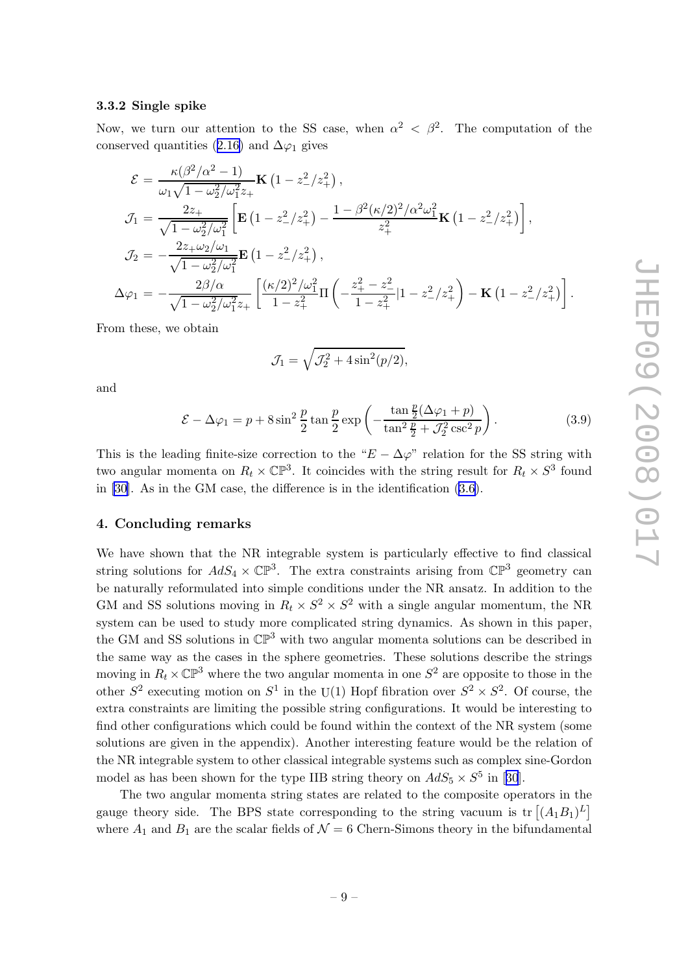.

#### <span id="page-9-0"></span>3.3.2 Single spike

Now, we turn our attention to the SS case, when  $\alpha^2 < \beta^2$ . The computation of the conservedquantities ([2.16\)](#page-5-0) and  $\Delta\varphi_1$  gives

$$
\mathcal{E} = \frac{\kappa(\beta^2/\alpha^2 - 1)}{\omega_1 \sqrt{1 - \omega_2^2/\omega_1^2 z_+}} \mathbf{K} \left( 1 - z_-^2/z_+^2 \right),
$$
\n
$$
\mathcal{J}_1 = \frac{2z_+}{\sqrt{1 - \omega_2^2/\omega_1^2}} \left[ \mathbf{E} \left( 1 - z_-^2/z_+^2 \right) - \frac{1 - \beta^2 (\kappa/2)^2/\alpha^2 \omega_1^2}{z_+^2} \mathbf{K} \left( 1 - z_-^2/z_+^2 \right) \right],
$$
\n
$$
\mathcal{J}_2 = -\frac{2z_+ \omega_2/\omega_1}{\sqrt{1 - \omega_2^2/\omega_1^2}} \mathbf{E} \left( 1 - z_-^2/z_+^2 \right),
$$
\n
$$
\Delta \varphi_1 = -\frac{2\beta/\alpha}{\sqrt{1 - \omega_2^2/\omega_1^2 z_+}} \left[ \frac{(\kappa/2)^2/\omega_1^2}{1 - z_+^2} \Pi \left( -\frac{z_+^2 - z_-^2}{1 - z_+^2} |1 - z_-^2/z_+^2 \right) - \mathbf{K} \left( 1 - z_-^2/z_+^2 \right) \right]
$$

From these, we obtain

$$
\mathcal{J}_1 = \sqrt{\mathcal{J}_2^2 + 4\sin^2(p/2)},
$$

and

$$
\mathcal{E} - \Delta\varphi_1 = p + 8\sin^2\frac{p}{2}\tan\frac{p}{2}\exp\left(-\frac{\tan\frac{p}{2}(\Delta\varphi_1 + p)}{\tan^2\frac{p}{2} + \mathcal{J}_2^2\csc^2 p}\right). \tag{3.9}
$$

This is the leading finite-size correction to the " $E - \Delta \varphi$ " relation for the SS string with two angular momenta on  $R_t \times \mathbb{CP}^3$ . It coincides with the string result for  $R_t \times S^3$  found in [\[30\]](#page-16-0). As in the GM case, the difference is in the identification [\(3.6\)](#page-8-0).

#### 4. Concluding remarks

We have shown that the NR integrable system is particularly effective to find classical string solutions for  $AdS_4 \times \mathbb{CP}^3$ . The extra constraints arising from  $\mathbb{CP}^3$  geometry can be naturally reformulated into simple conditions under the NR ansatz. In addition to the GM and SS solutions moving in  $R_t \times S^2 \times S^2$  with a single angular momentum, the NR system can be used to study more complicated string dynamics. As shown in this paper, the GM and SS solutions in  $\mathbb{CP}^3$  with two angular momenta solutions can be described in the same way as the cases in the sphere geometries. These solutions describe the strings moving in  $R_t \times \mathbb{CP}^3$  where the two angular momenta in one  $S^2$  are opposite to those in the other  $S^2$  executing motion on  $S^1$  in the U(1) Hopf fibration over  $S^2 \times S^2$ . Of course, the extra constraints are limiting the possible string configurations. It would be interesting to find other configurations which could be found within the context of the NR system (some solutions are given in the appendix). Another interesting feature would be the relation of the NR integrable system to other classical integrable systems such as complex sine-Gordon modelas has been shown for the type IIB string theory on  $AdS_5 \times S^5$  in [[30](#page-16-0)].

The two angular momenta string states are related to the composite operators in the gauge theory side. The BPS state corresponding to the string vacuum is  $\text{tr}[(A_1B_1)^L]$ where  $A_1$  and  $B_1$  are the scalar fields of  $\mathcal{N}=6$  Chern-Simons theory in the bifundamental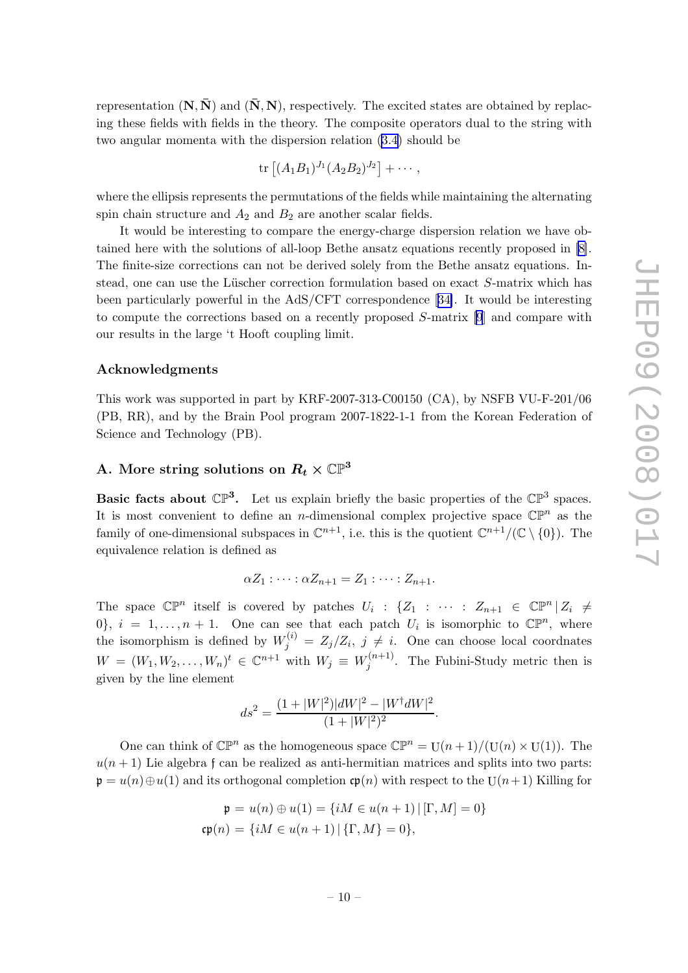<span id="page-10-0"></span>representation  $(N, \bar{N})$  and  $(\bar{N}, N)$ , respectively. The excited states are obtained by replacing these fields with fields in the theory. The composite operators dual to the string with two angular momenta with the dispersion relation [\(3.4\)](#page-7-0) should be

$$
\text{tr}\left[ (A_1B_1)^{J_1}(A_2B_2)^{J_2}\right]+\cdots,
$$

where the ellipsis represents the permutations of the fields while maintaining the alternating spin chain structure and  $A_2$  and  $B_2$  are another scalar fields.

It would be interesting to compare the energy-charge dispersion relation we have obtained here with the solutions of all-loop Bethe ansatz equations recently proposed in [\[8\]](#page-15-0). The finite-size corrections can not be derived solely from the Bethe ansatz equations. Instead, one can use the Lüscher correction formulation based on exact  $S$ -matrix which has been particularly powerful in the AdS/CFT correspondence[[34\]](#page-17-0). It would be interesting to compute the corrections based on a recently proposed S-matrix [\[9](#page-15-0)] and compare with our results in the large 't Hooft coupling limit.

#### Acknowledgments

This work was supported in part by KRF-2007-313-C00150 (CA), by NSFB VU-F-201/06 (PB, RR), and by the Brain Pool program 2007-1822-1-1 from the Korean Federation of Science and Technology (PB).

### A. More string solutions on  $R_t \times \mathbb{CP}^3$

**Basic facts about**  $\mathbb{CP}^3$ **.** Let us explain briefly the basic properties of the  $\mathbb{CP}^3$  spaces. It is most convenient to define an *n*-dimensional complex projective space  $\mathbb{CP}^n$  as the family of one-dimensional subspaces in  $\mathbb{C}^{n+1}$ , i.e. this is the quotient  $\mathbb{C}^{n+1}/(\mathbb{C} \setminus \{0\})$ . The equivalence relation is defined as

$$
\alpha Z_1: \cdots: \alpha Z_{n+1}=Z_1: \cdots: Z_{n+1}.
$$

The space  $\mathbb{CP}^n$  itself is covered by patches  $U_i : \{Z_1 : \cdots : Z_{n+1} \in \mathbb{CP}^n | Z_i \neq \emptyset\}$  $0\}$ ,  $i = 1, \ldots, n + 1$ . One can see that each patch  $U_i$  is isomorphic to  $\mathbb{CP}^n$ , where the isomorphism is defined by  $W_j^{(i)} = Z_j/Z_i$ ,  $j \neq i$ . One can choose local coordnates  $W = (W_1, W_2, \dots, W_n)^t \in \mathbb{C}^{n+1}$  with  $W_j \equiv W_j^{(n+1)}$  $j^{(n+1)}$ . The Fubini-Study metric then is given by the line element

$$
ds^{2} = \frac{(1+|W|^{2})|dW|^{2} - |W^{\dagger}dW|^{2}}{(1+|W|^{2})^{2}}.
$$

One can think of  $\mathbb{CP}^n$  as the homogeneous space  $\mathbb{CP}^n = U(n+1)/(U(n) \times U(1))$ . The  $u(n + 1)$  Lie algebra f can be realized as anti-hermitian matrices and splits into two parts:  $\mathfrak{p} = u(n) \oplus u(1)$  and its orthogonal completion  $\mathfrak{sp}(n)$  with respect to the U $(n+1)$  Killing for

$$
\mathfrak{p} = u(n) \oplus u(1) = \{iM \in u(n+1) | [\Gamma, M] = 0\}
$$
  

$$
\mathfrak{cp}(n) = \{iM \in u(n+1) | \{\Gamma, M\} = 0\},
$$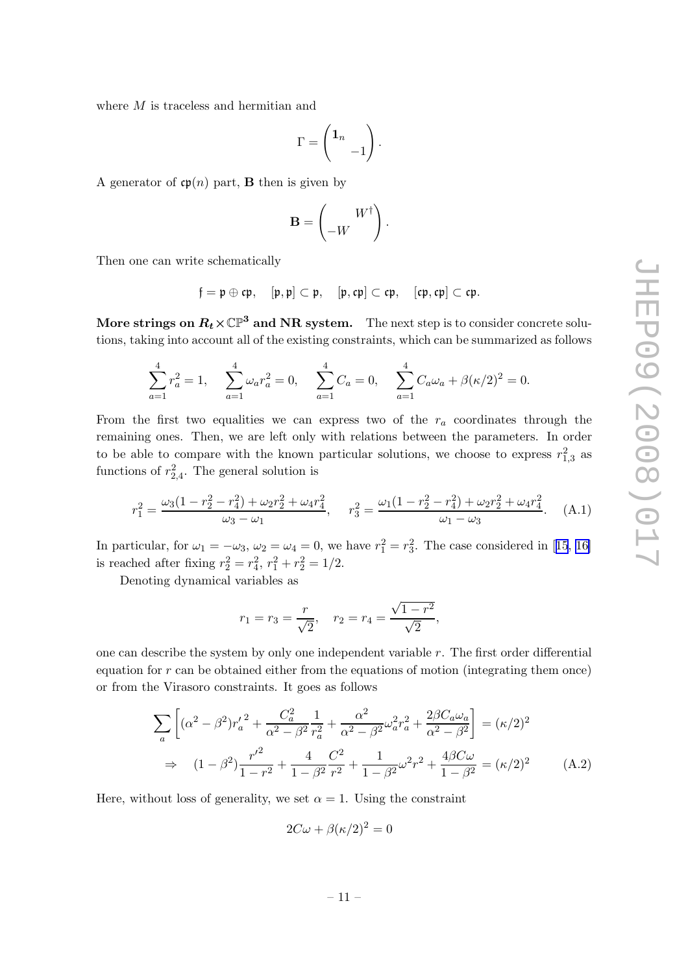where  $M$  is traceless and hermitian and

$$
\Gamma = \begin{pmatrix} 1_n \\ & -1 \end{pmatrix}.
$$

A generator of  $\mathfrak{cp}(n)$  part, **B** then is given by

$$
\mathbf{B} = \begin{pmatrix} W^{\dagger} \\ -W \end{pmatrix}.
$$

Then one can write schematically

$$
\mathfrak{f}=\mathfrak{p}\oplus\mathfrak{cp},\quad [\mathfrak{p},\mathfrak{p}]\subset\mathfrak{p},\quad [\mathfrak{p},\mathfrak{cp}]\subset\mathfrak{cp},\quad [\mathfrak{cp},\mathfrak{cp}]\subset\mathfrak{cp}.
$$

More strings on  $R_t \times \mathbb{CP}^3$  and NR system. The next step is to consider concrete solutions, taking into account all of the existing constraints, which can be summarized as follows

$$
\sum_{a=1}^{4} r_a^2 = 1, \quad \sum_{a=1}^{4} \omega_a r_a^2 = 0, \quad \sum_{a=1}^{4} C_a = 0, \quad \sum_{a=1}^{4} C_a \omega_a + \beta (\kappa/2)^2 = 0.
$$

From the first two equalities we can express two of the  $r_a$  coordinates through the remaining ones. Then, we are left only with relations between the parameters. In order to be able to compare with the known particular solutions, we choose to express  $r_{1,3}^2$  as functions of  $r_{2,4}^2$ . The general solution is

$$
r_1^2 = \frac{\omega_3 (1 - r_2^2 - r_4^2) + \omega_2 r_2^2 + \omega_4 r_4^2}{\omega_3 - \omega_1}, \quad r_3^2 = \frac{\omega_1 (1 - r_2^2 - r_4^2) + \omega_2 r_2^2 + \omega_4 r_4^2}{\omega_1 - \omega_3}.
$$
 (A.1)

Inparticular, for  $\omega_1 = -\omega_3$ ,  $\omega_2 = \omega_4 = 0$ , we have  $r_1^2 = r_3^2$ . The case considered in [[15](#page-16-0), [16\]](#page-16-0) is reached after fixing  $r_2^2 = r_4^2$ ,  $r_1^2 + r_2^2 = 1/2$ .

Denoting dynamical variables as

$$
r_1 = r_3 = \frac{r}{\sqrt{2}}, \quad r_2 = r_4 = \frac{\sqrt{1 - r^2}}{\sqrt{2}},
$$

one can describe the system by only one independent variable  $r$ . The first order differential equation for  $r$  can be obtained either from the equations of motion (integrating them once) or from the Virasoro constraints. It goes as follows

$$
\sum_{a} \left[ (\alpha^{2} - \beta^{2}) r_{a}'^{2} + \frac{C_{a}^{2}}{\alpha^{2} - \beta^{2}} \frac{1}{r_{a}^{2}} + \frac{\alpha^{2}}{\alpha^{2} - \beta^{2}} \omega_{a}^{2} r_{a}^{2} + \frac{2\beta C_{a} \omega_{a}}{\alpha^{2} - \beta^{2}} \right] = (\kappa/2)^{2}
$$
  
\n
$$
\Rightarrow (1 - \beta^{2}) \frac{r'^{2}}{1 - r^{2}} + \frac{4}{1 - \beta^{2}} \frac{C^{2}}{r^{2}} + \frac{1}{1 - \beta^{2}} \omega^{2} r^{2} + \frac{4\beta C \omega}{1 - \beta^{2}} = (\kappa/2)^{2}
$$
(A.2)

Here, without loss of generality, we set  $\alpha = 1$ . Using the constraint

$$
2C\omega + \beta(\kappa/2)^2 = 0
$$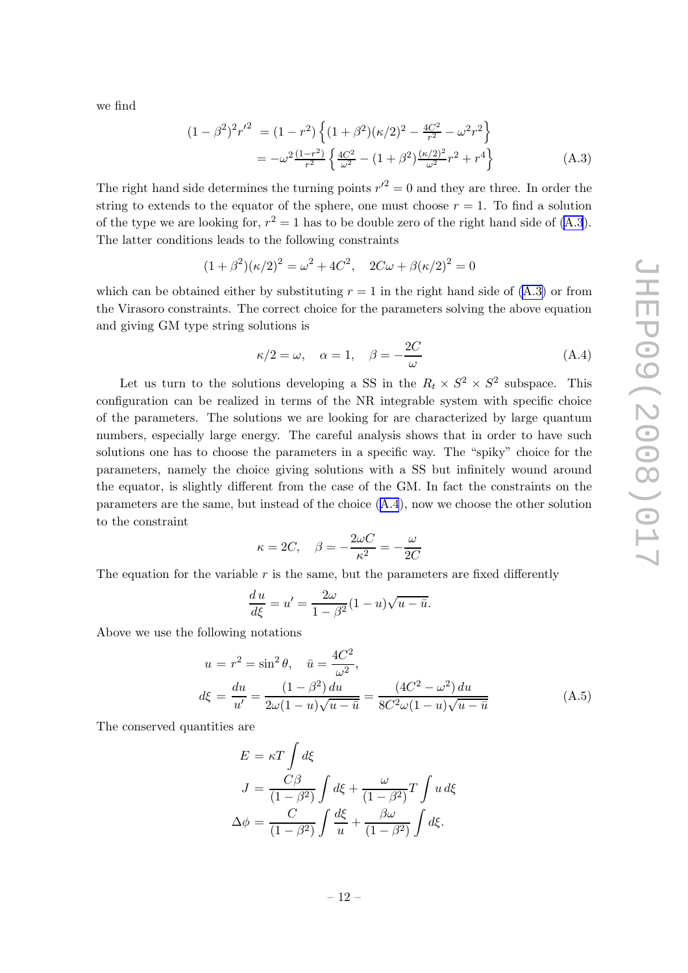we find

$$
(1 - \beta^2)^2 r'^2 = (1 - r^2) \left\{ (1 + \beta^2)(\kappa/2)^2 - \frac{4C^2}{r^2} - \omega^2 r^2 \right\}
$$
  
= 
$$
-\omega^2 \frac{(1 - r^2)}{r^2} \left\{ \frac{4C^2}{\omega^2} - (1 + \beta^2) \frac{(\kappa/2)^2}{\omega^2} r^2 + r^4 \right\}
$$
 (A.3)

The right hand side determines the turning points  $r'^2 = 0$  and they are three. In order the string to extends to the equator of the sphere, one must choose  $r = 1$ . To find a solution of the type we are looking for,  $r^2 = 1$  has to be double zero of the right hand side of (A.3). The latter conditions leads to the following constraints

$$
(1 + \beta^2)(\kappa/2)^2 = \omega^2 + 4C^2, \quad 2C\omega + \beta(\kappa/2)^2 = 0
$$

which can be obtained either by substituting  $r = 1$  in the right hand side of (A.3) or from the Virasoro constraints. The correct choice for the parameters solving the above equation and giving GM type string solutions is

$$
\kappa/2 = \omega, \quad \alpha = 1, \quad \beta = -\frac{2C}{\omega}
$$
 (A.4)

Let us turn to the solutions developing a SS in the  $R_t \times S^2 \times S^2$  subspace. This configuration can be realized in terms of the NR integrable system with specific choice of the parameters. The solutions we are looking for are characterized by large quantum numbers, especially large energy. The careful analysis shows that in order to have such solutions one has to choose the parameters in a specific way. The "spiky" choice for the parameters, namely the choice giving solutions with a SS but infinitely wound around the equator, is slightly different from the case of the GM. In fact the constraints on the parameters are the same, but instead of the choice (A.4), now we choose the other solution to the constraint

$$
\kappa = 2C, \quad \beta = -\frac{2\omega C}{\kappa^2} = -\frac{\omega}{2C}
$$

The equation for the variable  $r$  is the same, but the parameters are fixed differently

$$
\frac{du}{d\xi} = u' = \frac{2\omega}{1 - \beta^2} (1 - u) \sqrt{u - \bar{u}}.
$$

Above we use the following notations

$$
u = r^2 = \sin^2 \theta, \quad \bar{u} = \frac{4C^2}{\omega^2},
$$
  

$$
d\xi = \frac{du}{u'} = \frac{(1 - \beta^2) du}{2\omega(1 - u)\sqrt{u - \bar{u}}} = \frac{(4C^2 - \omega^2) du}{8C^2\omega(1 - u)\sqrt{u - \bar{u}}}
$$
(A.5)

The conserved quantities are

$$
E = \kappa T \int d\xi
$$
  
\n
$$
J = \frac{C\beta}{(1 - \beta^2)} \int d\xi + \frac{\omega}{(1 - \beta^2)} T \int u d\xi
$$
  
\n
$$
\Delta \phi = \frac{C}{(1 - \beta^2)} \int \frac{d\xi}{u} + \frac{\beta \omega}{(1 - \beta^2)} \int d\xi.
$$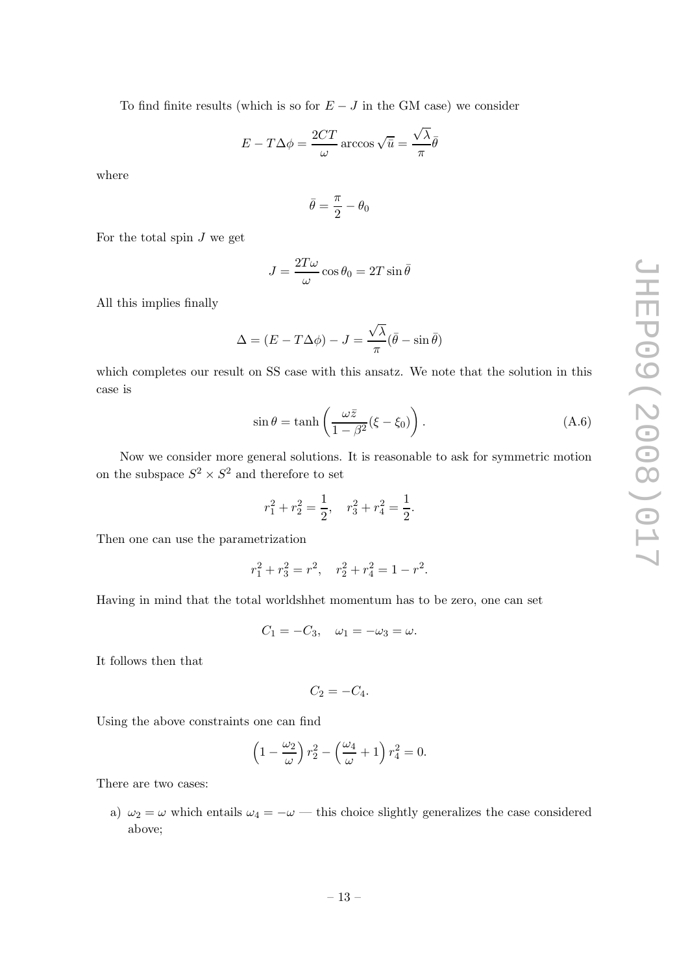To find finite results (which is so for  $E - J$  in the GM case) we consider

$$
E - T\Delta\phi = \frac{2CT}{\omega} \arccos \sqrt{\bar{u}} = \frac{\sqrt{\lambda}}{\pi} \bar{\theta}
$$

where

$$
\bar{\theta} = \frac{\pi}{2} - \theta_0
$$

For the total spin  $J$  we get

$$
J = \frac{2T\omega}{\omega}\cos\theta_0 = 2T\sin\bar{\theta}
$$

All this implies finally

$$
\Delta = (E - T\Delta\phi) - J = \frac{\sqrt{\lambda}}{\pi}(\bar{\theta} - \sin\bar{\theta})
$$

which completes our result on SS case with this ansatz. We note that the solution in this case is

$$
\sin \theta = \tanh\left(\frac{\omega \bar{z}}{1 - \beta^2} (\xi - \xi_0)\right). \tag{A.6}
$$

Now we consider more general solutions. It is reasonable to ask for symmetric motion on the subspace  $S^2 \times S^2$  and therefore to set

$$
r_1^2 + r_2^2 = \frac{1}{2}, \quad r_3^2 + r_4^2 = \frac{1}{2}.
$$

Then one can use the parametrization

$$
r_1^2 + r_3^2 = r^2, \quad r_2^2 + r_4^2 = 1 - r^2.
$$

Having in mind that the total worldshhet momentum has to be zero, one can set

$$
C_1 = -C_3, \quad \omega_1 = -\omega_3 = \omega.
$$

It follows then that

$$
C_2=-C_4.
$$

Using the above constraints one can find

$$
\left(1 - \frac{\omega_2}{\omega}\right) r_2^2 - \left(\frac{\omega_4}{\omega} + 1\right) r_4^2 = 0.
$$

There are two cases:

a)  $\omega_2 = \omega$  which entails  $\omega_4 = -\omega$  — this choice slightly generalizes the case considered above;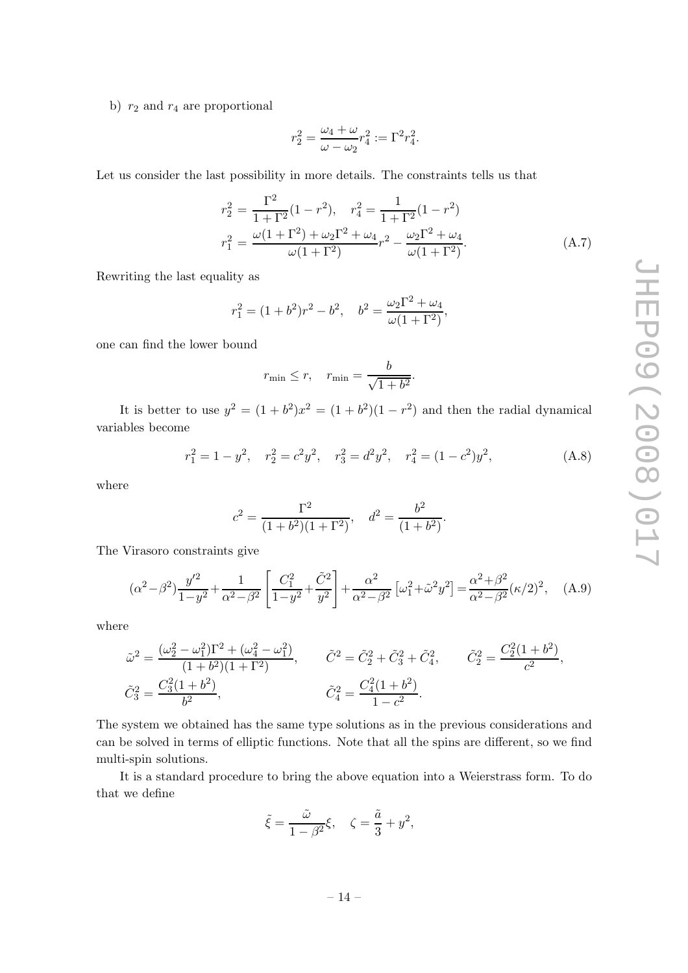<span id="page-14-0"></span>b)  $r_2$  and  $r_4$  are proportional

$$
r_2^2 = \frac{\omega_4 + \omega}{\omega - \omega_2} r_4^2 := \Gamma^2 r_4^2.
$$

Let us consider the last possibility in more details. The constraints tells us that

$$
r_2^2 = \frac{\Gamma^2}{1+\Gamma^2} (1-r^2), \quad r_4^2 = \frac{1}{1+\Gamma^2} (1-r^2)
$$
  

$$
r_1^2 = \frac{\omega(1+\Gamma^2) + \omega_2 \Gamma^2 + \omega_4}{\omega(1+\Gamma^2)} r^2 - \frac{\omega_2 \Gamma^2 + \omega_4}{\omega(1+\Gamma^2)}.
$$
 (A.7)

Rewriting the last equality as

$$
r_1^2 = (1+b^2)r^2 - b^2, \quad b^2 = \frac{\omega_2 \Gamma^2 + \omega_4}{\omega(1+\Gamma^2)},
$$

one can find the lower bound

$$
r_{\min} \le r, \quad r_{\min} = \frac{b}{\sqrt{1+b^2}}.
$$

It is better to use  $y^2 = (1 + b^2)x^2 = (1 + b^2)(1 - r^2)$  and then the radial dynamical variables become

$$
r_1^2 = 1 - y^2, \quad r_2^2 = c^2 y^2, \quad r_3^2 = d^2 y^2, \quad r_4^2 = (1 - c^2)y^2,
$$
 (A.8)

where

$$
c^2 = \frac{\Gamma^2}{(1+b^2)(1+\Gamma^2)}, \quad d^2 = \frac{b^2}{(1+b^2)}.
$$

The Virasoro constraints give

$$
(\alpha^2 - \beta^2) \frac{y'^2}{1 - y^2} + \frac{1}{\alpha^2 - \beta^2} \left[ \frac{C_1^2}{1 - y^2} + \frac{\tilde{C}^2}{y^2} \right] + \frac{\alpha^2}{\alpha^2 - \beta^2} \left[ \omega_1^2 + \tilde{\omega}^2 y^2 \right] = \frac{\alpha^2 + \beta^2}{\alpha^2 - \beta^2} (\kappa/2)^2, \quad (A.9)
$$

where

$$
\tilde{\omega}^2 = \frac{(\omega_2^2 - \omega_1^2)\Gamma^2 + (\omega_4^2 - \omega_1^2)}{(1 + b^2)(1 + \Gamma^2)}, \qquad \tilde{C}^2 = \tilde{C}_2^2 + \tilde{C}_3^2 + \tilde{C}_4^2, \qquad \tilde{C}_2^2 = \frac{C_2^2(1 + b^2)}{c^2}, \n\tilde{C}_3^2 = \frac{C_3^2(1 + b^2)}{b^2}, \qquad \tilde{C}_4^2 = \frac{C_4^2(1 + b^2)}{1 - c^2}.
$$

The system we obtained has the same type solutions as in the previous considerations and can be solved in terms of elliptic functions. Note that all the spins are different, so we find multi-spin solutions.

It is a standard procedure to bring the above equation into a Weierstrass form. To do that we define

$$
\tilde{\xi} = \frac{\tilde{\omega}}{1 - \beta^2} \xi, \quad \zeta = \frac{\tilde{a}}{3} + y^2,
$$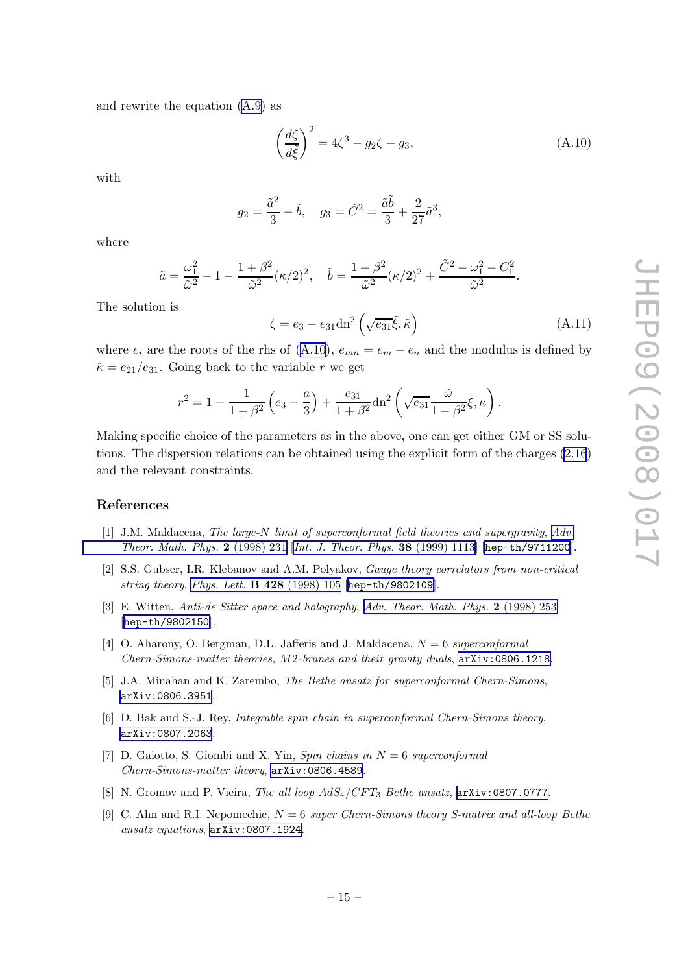<span id="page-15-0"></span>and rewrite the equation [\(A.9\)](#page-14-0) as

$$
\left(\frac{d\zeta}{d\tilde{\zeta}}\right)^2 = 4\zeta^3 - g_2\zeta - g_3,\tag{A.10}
$$

with

$$
g_2 = \frac{\tilde{a}^2}{3} - \tilde{b}, \quad g_3 = \tilde{C}^2 = \frac{\tilde{a}\tilde{b}}{3} + \frac{2}{27}\tilde{a}^3,
$$

where

$$
\tilde{a} = \frac{\omega_1^2}{\tilde{\omega}^2} - 1 - \frac{1 + \beta^2}{\tilde{\omega}^2} (\kappa/2)^2, \quad \tilde{b} = \frac{1 + \beta^2}{\tilde{\omega}^2} (\kappa/2)^2 + \frac{\tilde{C}^2 - \omega_1^2 - C_1^2}{\tilde{\omega}^2}.
$$

The solution is

$$
\zeta = e_3 - e_{31} \text{dn}^2 \left( \sqrt{e_{31}} \tilde{\xi}, \tilde{\kappa} \right) \tag{A.11}
$$

where  $e_i$  are the roots of the rhs of (A.10),  $e_{mn} = e_m - e_n$  and the modulus is defined by  $\tilde{\kappa} = e_{21}/e_{31}$ . Going back to the variable r we get

$$
r^{2} = 1 - \frac{1}{1 + \beta^{2}} \left( e_{3} - \frac{a}{3} \right) + \frac{e_{31}}{1 + \beta^{2}} \text{dn}^{2} \left( \sqrt{e_{31}} \frac{\tilde{\omega}}{1 - \beta^{2}} \xi, \kappa \right).
$$

Making specific choice of the parameters as in the above, one can get either GM or SS solutions. The dispersion relations can be obtained using the explicit form of the charges [\(2.16](#page-5-0)) and the relevant constraints.

#### References

- [1] J.M. Maldacena, The large-N limit of superconformal field theories and supergravity, [Adv.](http://www-spires.slac.stanford.edu/spires/find/hep/www?j=00203%2C2%2C231) [Theor. Math. Phys.](http://www-spires.slac.stanford.edu/spires/find/hep/www?j=00203%2C2%2C231) 2 (1998) 231 [[Int. J. Theor. Phys.](http://www-spires.slac.stanford.edu/spires/find/hep/www?j=IJTPB%2C38%2C1113) 38 (1999) 1113] [[hep-th/9711200](http://arxiv.org/abs/hep-th/9711200)].
- [2] S.S. Gubser, I.R. Klebanov and A.M. Polyakov, Gauge theory correlators from non-critical string theory, [Phys. Lett.](http://www-spires.slac.stanford.edu/spires/find/hep/www?j=PHLTA%2CB428%2C105) B 428 (1998) 105 [[hep-th/9802109](http://arxiv.org/abs/hep-th/9802109)].
- [3] E. Witten, Anti-de Sitter space and holography, [Adv. Theor. Math. Phys.](http://www-spires.slac.stanford.edu/spires/find/hep/www?j=00203%2C2%2C253) 2 (1998) 253 [[hep-th/9802150](http://arxiv.org/abs/hep-th/9802150)].
- [4] O. Aharony, O. Bergman, D.L. Jafferis and J. Maldacena,  $N = 6$  superconformal Chern-Simons-matter theories, M2-branes and their gravity duals, [arXiv:0806.1218](http://arxiv.org/abs/0806.1218).
- [5] J.A. Minahan and K. Zarembo, *The Bethe ansatz for superconformal Chern-Simons*, [arXiv:0806.3951](http://arxiv.org/abs/0806.3951).
- [6] D. Bak and S.-J. Rey, Integrable spin chain in superconformal Chern-Simons theory, [arXiv:0807.2063](http://arxiv.org/abs/0807.2063).
- [7] D. Gaiotto, S. Giombi and X. Yin, Spin chains in  $N = 6$  superconformal Chern-Simons-matter theory, [arXiv:0806.4589](http://arxiv.org/abs/0806.4589).
- [8] N. Gromov and P. Vieira, The all loop  $AdS_4/CFT_3$  Bethe ansatz,  $arXiv:0807.0777$ .
- [9] C. Ahn and R.I. Nepomechie,  $N = 6$  super Chern-Simons theory S-matrix and all-loop Bethe ansatz equations, [arXiv:0807.1924](http://arxiv.org/abs/0807.1924).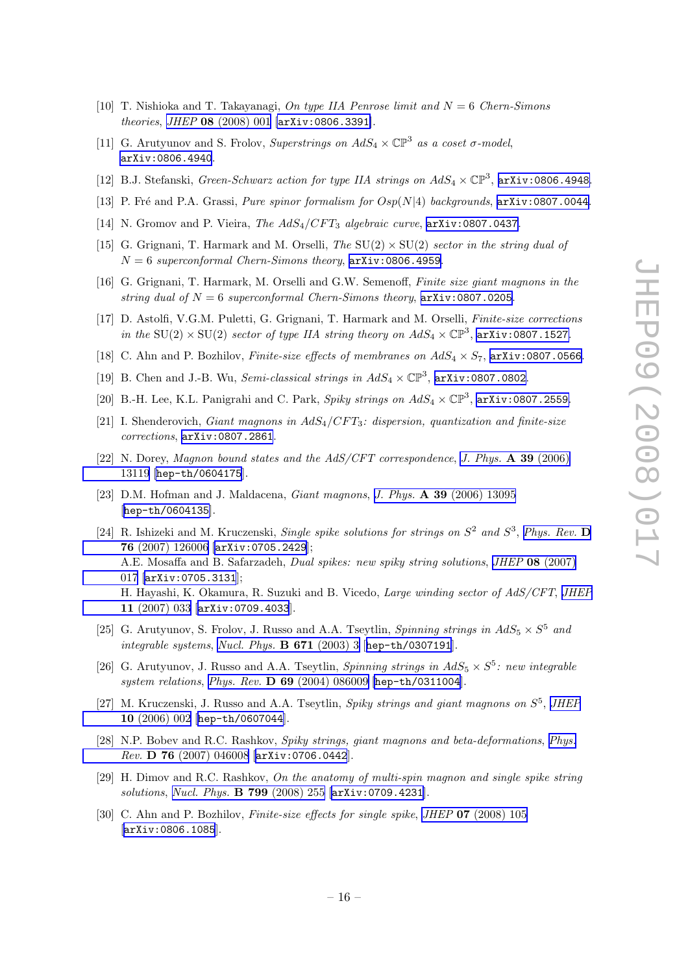- <span id="page-16-0"></span>[10] T. Nishioka and T. Takayanagi, On type IIA Penrose limit and  $N = 6$  Chern-Simons theories, JHEP 08 [\(2008\) 001](http://jhep.sissa.it/stdsearch?paper=08%282008%29001) [[arXiv:0806.3391](http://arxiv.org/abs/0806.3391)].
- [11] G. Arutyunov and S. Frolov, Superstrings on  $AdS_4 \times \mathbb{CP}^3$  as a coset  $\sigma$ -model, [arXiv:0806.4940](http://arxiv.org/abs/0806.4940).
- [12] B.J. Stefanski, *Green-Schwarz action for type IIA strings on*  $AdS_4 \times \mathbb{CP}^3$ ,  $\arxiv:0806.4948$ .
- [13] P. Fré and P.A. Grassi, *Pure spinor formalism for*  $Osp(N|4)$  *backgrounds*,  $arXiv:0807.0044$ .
- [14] N. Gromov and P. Vieira, *The AdS<sub>4</sub>*/CFT<sub>3</sub> algebraic curve,  $arXiv:0807.0437$ .
- [15] G. Grignani, T. Harmark and M. Orselli, The  $SU(2) \times SU(2)$  sector in the string dual of  $N = 6$  superconformal Chern-Simons theory,  $arXiv:0806.4959$ .
- [16] G. Grignani, T. Harmark, M. Orselli and G.W. Semenoff, Finite size giant magnons in the string dual of  $N = 6$  superconformal Chern-Simons theory,  $arXiv:0807.0205$ .
- [17] D. Astolfi, V.G.M. Puletti, G. Grignani, T. Harmark and M. Orselli, Finite-size corrections in the SU(2)  $\times$  SU(2) sector of type IIA string theory on  $AdS_4 \times \mathbb{CP}^3$ , [arXiv:0807.1527](http://arxiv.org/abs/0807.1527).
- [18] C. Ahn and P. Bozhilov, Finite-size effects of membranes on  $AdS_4 \times S_7$ , [arXiv:0807.0566](http://arxiv.org/abs/0807.0566).
- [19] B. Chen and J.-B. Wu, *Semi-classical strings in*  $AdS_4 \times \mathbb{CP}^3$ ,  $arXiv:0807.0802$ .
- [20] B.-H. Lee, K.L. Panigrahi and C. Park, *Spiky strings on*  $AdS_4 \times \mathbb{CP}^3$ ,  $arXiv:0807.2559$ .
- [21] I. Shenderovich, Giant magnons in  $AdS_4/CFT_3$ : dispersion, quantization and finite-size corrections, [arXiv:0807.2861](http://arxiv.org/abs/0807.2861).
- [22] N. Dorey, Magnon bound states and the AdS/CFT correspondence, [J. Phys.](http://www-spires.slac.stanford.edu/spires/find/hep/www?j=JPAGB%2CA39%2C13119) A 39 (2006) [13119](http://www-spires.slac.stanford.edu/spires/find/hep/www?j=JPAGB%2CA39%2C13119) [[hep-th/0604175](http://arxiv.org/abs/hep-th/0604175)].
- [23] D.M. Hofman and J. Maldacena, *Giant magnons*, *J. Phys.* **A 39** [\(2006\) 13095](http://www-spires.slac.stanford.edu/spires/find/hep/www?j=JPAGB%2CA39%2C13095) [[hep-th/0604135](http://arxiv.org/abs/hep-th/0604135)].
- [24] R. Ishizeki and M. Kruczenski, Single spike solutions for strings on  $S^2$  and  $S^3$ , [Phys. Rev.](http://www-spires.slac.stanford.edu/spires/find/hep/www?j=PHRVA%2CD76%2C126006) D 76 [\(2007\) 126006](http://www-spires.slac.stanford.edu/spires/find/hep/www?j=PHRVA%2CD76%2C126006) [[arXiv:0705.2429](http://arxiv.org/abs/0705.2429)]; A.E. Mosaffa and B. Safarzadeh, Dual spikes: new spiky string solutions, JHEP 08 [\(2007\)](http://jhep.sissa.it/stdsearch?paper=08%282007%29017) [017](http://jhep.sissa.it/stdsearch?paper=08%282007%29017) [[arXiv:0705.3131](http://arxiv.org/abs/0705.3131)]; H. Hayashi, K. Okamura, R. Suzuki and B. Vicedo, Large winding sector of AdS/CFT, [JHEP](http://jhep.sissa.it/stdsearch?paper=11%282007%29033) 11 [\(2007\) 033](http://jhep.sissa.it/stdsearch?paper=11%282007%29033) [[arXiv:0709.4033](http://arxiv.org/abs/0709.4033)].
- [25] G. Arutyunov, S. Frolov, J. Russo and A.A. Tseytlin, *Spinning strings in*  $AdS_5 \times S^5$  *and* integrable systems, [Nucl. Phys.](http://www-spires.slac.stanford.edu/spires/find/hep/www?j=NUPHA%2CB671%2C3) B 671 (2003) 3 [[hep-th/0307191](http://arxiv.org/abs/hep-th/0307191)].
- [26] G. Arutyunov, J. Russo and A.A. Tseytlin, *Spinning strings in AdS*<sub>5</sub>  $\times$  S<sup>5</sup>: new integrable system relations, Phys. Rev. D 69 [\(2004\) 086009](http://www-spires.slac.stanford.edu/spires/find/hep/www?j=PHRVA%2CD69%2C086009) [[hep-th/0311004](http://arxiv.org/abs/hep-th/0311004)].
- [27] M. Kruczenski, J. Russo and A.A. Tseytlin, Spiky strings and giant magnons on  $S^5$ , [JHEP](http://jhep.sissa.it/stdsearch?paper=10%282006%29002) 10 [\(2006\) 002](http://jhep.sissa.it/stdsearch?paper=10%282006%29002) [[hep-th/0607044](http://arxiv.org/abs/hep-th/0607044)].
- [28] N.P. Bobev and R.C. Rashkov, Spiky strings, giant magnons and beta-deformations, [Phys.](http://www-spires.slac.stanford.edu/spires/find/hep/www?j=PHRVA%2CD76%2C046008) Rev. D 76 [\(2007\) 046008](http://www-spires.slac.stanford.edu/spires/find/hep/www?j=PHRVA%2CD76%2C046008) [[arXiv:0706.0442](http://arxiv.org/abs/0706.0442)].
- [29] H. Dimov and R.C. Rashkov, On the anatomy of multi-spin magnon and single spike string solutions, [Nucl. Phys.](http://www-spires.slac.stanford.edu/spires/find/hep/www?j=NUPHA%2CB799%2C255) B 799 (2008) 255 [[arXiv:0709.4231](http://arxiv.org/abs/0709.4231)].
- [30] C. Ahn and P. Bozhilov, *Finite-size effects for single spike*, *JHEP* **07** [\(2008\) 105](http://jhep.sissa.it/stdsearch?paper=07%282008%29105) [[arXiv:0806.1085](http://arxiv.org/abs/0806.1085)].